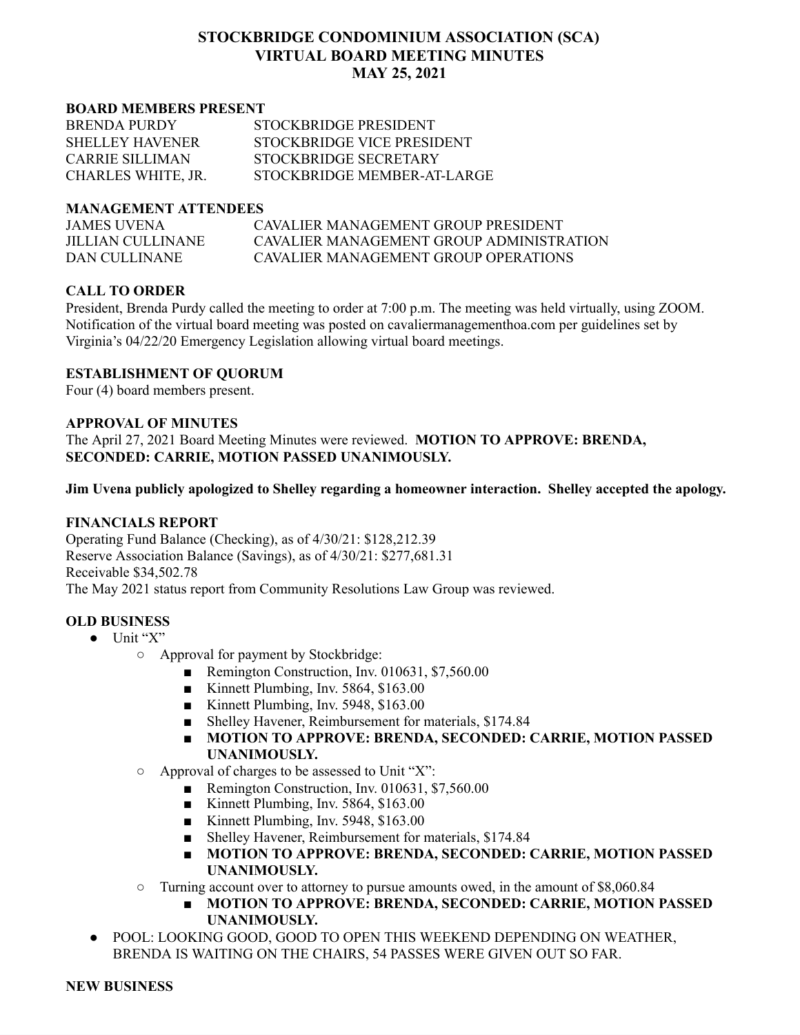### **STOCKBRIDGE CONDOMINIUM ASSOCIATION (SCA) VIRTUAL BOARD MEETING MINUTES MAY 25, 2021**

#### **BOARD MEMBERS PRESENT**

| <b>BRENDA PURDY</b>    | STOCKBRIDGE PRESIDENT       |
|------------------------|-----------------------------|
| <b>SHELLEY HAVENER</b> | STOCKBRIDGE VICE PRESIDENT  |
| CARRIE SILLIMAN        | STOCKBRIDGE SECRETARY       |
| CHARLES WHITE, JR.     | STOCKBRIDGE MEMBER-AT-LARGE |

### **MANAGEMENT ATTENDEES**

| JAMES UVENA       | CAVALIER MANAGEMENT GROUP PRESIDENT      |
|-------------------|------------------------------------------|
| JILLIAN CULLINANE | CAVALIER MANAGEMENT GROUP ADMINISTRATION |
| DAN CULLINANE     | CAVALIER MANAGEMENT GROUP OPER ATIONS    |

### **CALL TO ORDER**

President, Brenda Purdy called the meeting to order at 7:00 p.m. The meeting was held virtually, using ZOOM. Notification of the virtual board meeting was posted on cavaliermanagementhoa.com per guidelines set by Virginia's 04/22/20 Emergency Legislation allowing virtual board meetings.

### **ESTABLISHMENT OF QUORUM**

Four (4) board members present.

### **APPROVAL OF MINUTES**

The April 27, 2021 Board Meeting Minutes were reviewed. **MOTION TO APPROVE: BRENDA, SECONDED: CARRIE, MOTION PASSED UNANIMOUSLY.**

**Jim Uvena publicly apologized to Shelley regarding a homeowner interaction. Shelley accepted the apology.**

### **FINANCIALS REPORT**

Operating Fund Balance (Checking), as of 4/30/21: \$128,212.39 Reserve Association Balance (Savings), as of 4/30/21: \$277,681.31 Receivable \$34,502.78 The May 2021 status report from Community Resolutions Law Group was reviewed.

### **OLD BUSINESS**

- $\bullet$  Unit "X"
	- Approval for payment by Stockbridge:
		- Remington Construction, Inv. 010631, \$7,560.00
		- Kinnett Plumbing, Inv. 5864, \$163.00
		- Kinnett Plumbing, Inv. 5948, \$163.00
		- Shelley Havener, Reimbursement for materials, \$174.84
		- **MOTION TO APPROVE: BRENDA, SECONDED: CARRIE, MOTION PASSED UNANIMOUSLY.**
	- $\circ$  Approval of charges to be assessed to Unit "X":
		- Remington Construction, Inv. 010631, \$7,560.00
		- Kinnett Plumbing, Inv. 5864, \$163.00
		- Kinnett Plumbing, Inv. 5948, \$163.00
		- Shelley Havener, Reimbursement for materials, \$174.84
		- **MOTION TO APPROVE: BRENDA, SECONDED: CARRIE, MOTION PASSED UNANIMOUSLY.**
	- Turning account over to attorney to pursue amounts owed, in the amount of \$8,060.84
		- **MOTION TO APPROVE: BRENDA, SECONDED: CARRIE, MOTION PASSED UNANIMOUSLY.**
- POOL: LOOKING GOOD, GOOD TO OPEN THIS WEEKEND DEPENDING ON WEATHER, BRENDA IS WAITING ON THE CHAIRS, 54 PASSES WERE GIVEN OUT SO FAR.

#### **NEW BUSINESS**